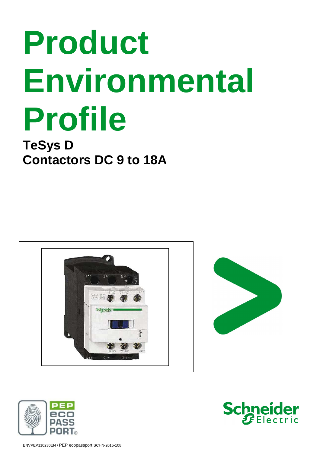# Product Environmental Profile

## **TeSys D Contactors DC 9 to 18A**







ENVPEP110230EN / PEP ecopassport SCHN-2015-108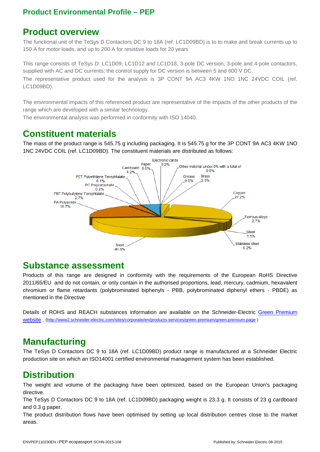#### **Product overview**

The functional unit of the TeSys D Contactors DC 9 to 18A (ref. LC1D09BD) is to to make and break currents up to 150 A for motor loads, and up to 200 A for resistive loads for 20 years

This range consists of TeSys D: LC1D09, LC1D12 and LC1D18, 3-pole DC version; 3-pole and 4-pole contactors, supplied with AC and DC currents; the control supply for DC version is between 5 and 600 V DC. The representative product used for the analysis is 3P CONT 9A AC3 4KW 1NO 1NC 24VDC COIL (ref. LC1D09BD).

The environmental impacts of this referenced product are representative of the impacts of the other products of the range which are developed with a similar technology.

The environmental analysis was performed in conformity with ISO 14040.

#### **Constituent materials**

The mass of the product range is 545.75 g including packaging. It is 545.75 g for the 3P CONT 9A AC3 4KW 1NO 1NC 24VDC COIL (ref. LC1D09BD). The constituent materials are distributed as follows:



#### **Substance assessment**

Products of this range are designed in conformity with the requirements of the European RoHS Directive 2011/65/EU and do not contain, or only contain in the authorised proportions, lead, mercury, cadmium, hexavalent chromium or flame retardants (polybrominated biphenyls - PBB, polybrominated diphenyl ethers - PBDE) as mentioned in the Directive

Details of ROHS and REACH substances information are available on the Schneider-Electric Green Premium website . (http://www2.schneider-electric.com/sites/corporate/en/products-services/green-premium/green-premium.page )

#### **Manufacturing**

The TeSys D Contactors DC 9 to 18A (ref. LC1D09BD) product range is manufactured at a Schneider Electric production site on which an ISO14001 certified environmental management system has been established.

#### **Distribution**

The weight and volume of the packaging have been optimized, based on the European Union's packaging directive.

The TeSys D Contactors DC 9 to 18A (ref. LC1D09BD) packaging weight is 23.3 g. It consists of 23 g cardboard and 0.3 g paper.

The product distribution flows have been optimised by setting up local distribution centres close to the market areas.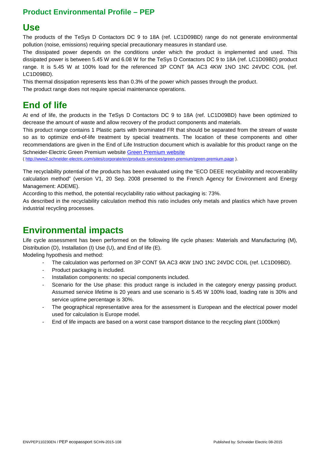#### **Use**

The products of the TeSys D Contactors DC 9 to 18A (ref. LC1D09BD) range do not generate environmental pollution (noise, emissions) requiring special precautionary measures in standard use.

The dissipated power depends on the conditions under which the product is implemented and used. This dissipated power is between 5.45 W and 6.08 W for the TeSys D Contactors DC 9 to 18A (ref. LC1D09BD) product range. It is 5.45 W at 100% load for the referenced 3P CONT 9A AC3 4KW 1NO 1NC 24VDC COIL (ref. LC1D09BD).

This thermal dissipation represents less than 0.3% of the power which passes through the product.

The product range does not require special maintenance operations.

#### **End of life**

At end of life, the products in the TeSys D Contactors DC 9 to 18A (ref. LC1D09BD) have been optimized to decrease the amount of waste and allow recovery of the product components and materials.

This product range contains 1 Plastic parts with brominated FR that should be separated from the stream of waste so as to optimize end-of-life treatment by special treatments. The location of these components and other recommendations are given in the End of Life Instruction document which is available for this product range on the Schneider-Electric Green Premium website Green Premium website

( http://www2.schneider-electric.com/sites/corporate/en/products-services/green-premium/green-premium.page ).

The recyclability potential of the products has been evaluated using the "ECO DEEE recyclability and recoverability calculation method" (version V1, 20 Sep. 2008 presented to the French Agency for Environment and Energy Management: ADEME).

According to this method, the potential recyclability ratio without packaging is: 73%.

As described in the recyclability calculation method this ratio includes only metals and plastics which have proven industrial recycling processes.

#### **Environmental impacts**

Life cycle assessment has been performed on the following life cycle phases: Materials and Manufacturing (M), Distribution (D), Installation (I) Use (U), and End of life (E).

Modeling hypothesis and method:

- The calculation was performed on 3P CONT 9A AC3 4KW 1NO 1NC 24VDC COIL (ref. LC1D09BD).
- Product packaging is included.
- Installation components: no special components included.
- Scenario for the Use phase: this product range is included in the category energy passing product. Assumed service lifetime is 20 years and use scenario is 5.45 W 100% load, loading rate is 30% and service uptime percentage is 30%.
- The geographical representative area for the assessment is European and the electrical power model used for calculation is Europe model.
- End of life impacts are based on a worst case transport distance to the recycling plant (1000km)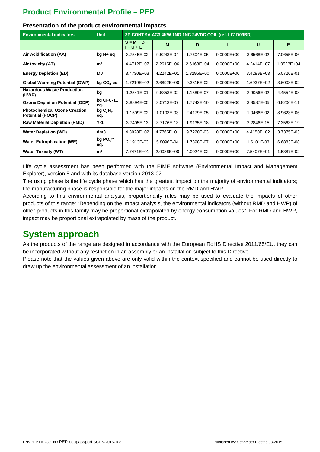| <b>Environmental indicators</b>                                | <b>Unit</b>                            | 3P CONT 9A AC3 4KW 1NO 1NC 24VDC COIL (ref. LC1D09BD) |                |            |                |              |                |  |  |
|----------------------------------------------------------------|----------------------------------------|-------------------------------------------------------|----------------|------------|----------------|--------------|----------------|--|--|
|                                                                |                                        | $S = M + D +$<br>$1 + U + E$                          | м              | D          |                | U            | Е              |  |  |
| Air Acidification (AA)                                         | kg H+ eq                               | 3.7545E-02                                            | 9.5243E-04     | 1.7604E-05 | $0.0000E + 00$ | 3.6568E-02   | 7.0655E-06     |  |  |
| Air toxicity (AT)                                              | m <sup>3</sup>                         | 4.4712E+07                                            | $2.2615E + 06$ | 2.6168E+04 | $0.0000E + 00$ | $4.2414E+07$ | $1.0523E + 04$ |  |  |
| <b>Energy Depletion (ED)</b>                                   | MJ                                     | 3.4730E+03                                            | $4.2242E + 01$ | 1.3195E+00 | $0.0000E + 00$ | 3.4289E+03   | 5.0726E-01     |  |  |
| <b>Global Warming Potential (GWP)</b>                          | $kg CO2$ eq.                           | 1.7219E+02                                            | $2.6892E + 00$ | 9.3815E-02 | $0.0000E + 00$ | 1.6937E+02   | 3.6008E-02     |  |  |
| <b>Hazardous Waste Production</b><br>(HWP)                     | kg                                     | 1.2541E-01                                            | 9.6353E-02     | 1.1589E-07 | $0.0000E + 00$ | 2.9056E-02   | 4.4554E-08     |  |  |
| <b>Ozone Depletion Potential (ODP)</b>                         | kg CFC-11<br>eq.                       | 3.8894E-05                                            | 3.0713E-07     | 1.7742E-10 | $0.0000E + 00$ | 3.8587E-05   | 6.8206E-11     |  |  |
| <b>Photochemical Ozone Creation</b><br><b>Potential (POCP)</b> | kgC <sub>2</sub> H <sub>4</sub><br>eq. | 1.1509E-02                                            | 1.0103E-03     | 2.4179E-05 | $0.0000E + 00$ | 1.0466E-02   | 8.9623E-06     |  |  |
| <b>Raw Material Depletion (RMD)</b>                            | $Y-1$                                  | 3.7405E-13                                            | 3.7176E-13     | 1.9135E-18 | $0.0000E + 00$ | 2.2846E-15   | 7.3563E-19     |  |  |
| <b>Water Depletion (WD)</b>                                    | dm3                                    | 4.8928E+02                                            | 4.7765E+01     | 9.7220E-03 | $0.0000E + 00$ | 4.4150E+02   | 3.7375E-03     |  |  |
| <b>Water Eutrophication (WE)</b>                               | kg $PO4$ <sup>3-</sup><br>eq.          | 2.1913E-03                                            | 5.8096E-04     | 1.7398E-07 | $0.0000E + 00$ | 1.6101E-03   | 6.6883E-08     |  |  |
| <b>Water Toxicity (WT)</b>                                     | m <sup>3</sup>                         | 7.7471E+01                                            | 2.0086E+00     | 4.0024E-02 | $0.0000E + 00$ | 7.5407E+01   | 1.5387E-02     |  |  |

#### **Presentation of the product environmental impacts**

Life cycle assessment has been performed with the EIME software (Environmental Impact and Management Explorer), version 5 and with its database version 2013-02

The using phase is the life cycle phase which has the greatest impact on the majority of environmental indicators; the manufacturing phase is responsible for the major impacts on the RMD and HWP.

According to this environmental analysis, proportionality rules may be used to evaluate the impacts of other products of this range: "Depending on the impact analysis, the environmental indicators (without RMD and HWP) of other products in this family may be proportional extrapolated by energy consumption values". For RMD and HWP, impact may be proportional extrapolated by mass of the product.

#### **System approach**

As the products of the range are designed in accordance with the European RoHS Directive 2011/65/EU, they can be incorporated without any restriction in an assembly or an installation subject to this Directive.

Please note that the values given above are only valid within the context specified and cannot be used directly to draw up the environmental assessment of an installation.